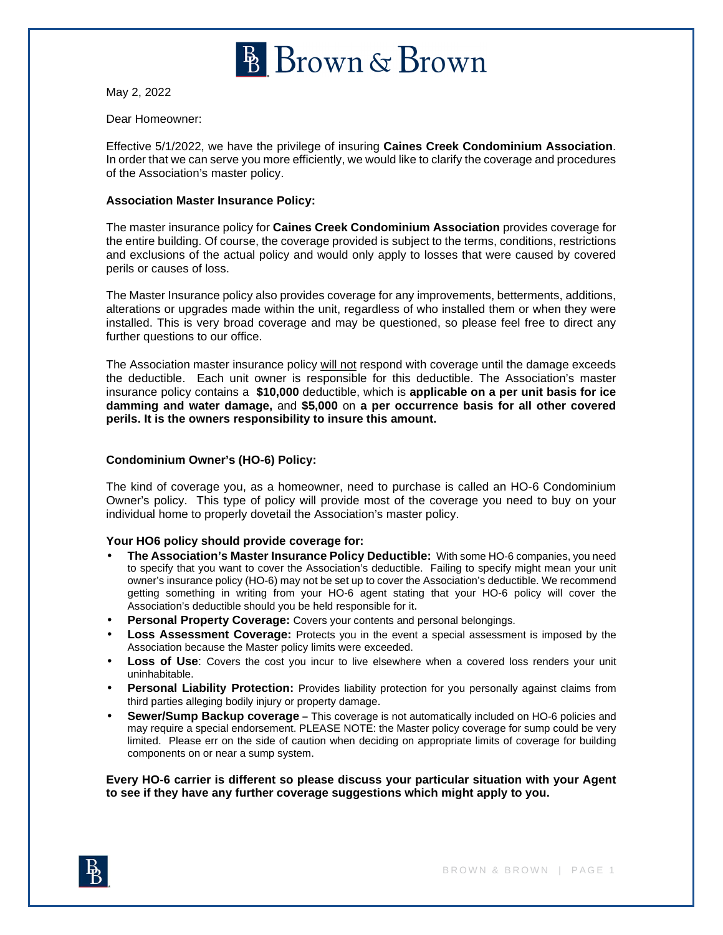

May 2, 2022

#### Dear Homeowner:

Effective 5/1/2022, we have the privilege of insuring **Caines Creek Condominium Association**. In order that we can serve you more efficiently, we would like to clarify the coverage and procedures of the Association's master policy.

## **Association Master Insurance Policy:**

The master insurance policy for **Caines Creek Condominium Association** provides coverage for the entire building. Of course, the coverage provided is subject to the terms, conditions, restrictions and exclusions of the actual policy and would only apply to losses that were caused by covered perils or causes of loss.

The Master Insurance policy also provides coverage for any improvements, betterments, additions, alterations or upgrades made within the unit, regardless of who installed them or when they were installed. This is very broad coverage and may be questioned, so please feel free to direct any further questions to our office.

The Association master insurance policy will not respond with coverage until the damage exceeds the deductible. Each unit owner is responsible for this deductible. The Association's master insurance policy contains a **\$10,000** deductible, which is **applicable on a per unit basis for ice damming and water damage,** and **\$5,000** on **a per occurrence basis for all other covered perils. It is the owners responsibility to insure this amount.**

#### **Condominium Owner's (HO-6) Policy:**

The kind of coverage you, as a homeowner, need to purchase is called an HO-6 Condominium Owner's policy. This type of policy will provide most of the coverage you need to buy on your individual home to properly dovetail the Association's master policy.

## **Your HO6 policy should provide coverage for:**

- **The Association's Master Insurance Policy Deductible:** With some HO-6 companies, you need to specify that you want to cover the Association's deductible. Failing to specify might mean your unit owner's insurance policy (HO-6) may not be set up to cover the Association's deductible. We recommend getting something in writing from your HO-6 agent stating that your HO-6 policy will cover the Association's deductible should you be held responsible for it.
- **Personal Property Coverage:** Covers your contents and personal belongings.
- **Loss Assessment Coverage:** Protects you in the event a special assessment is imposed by the Association because the Master policy limits were exceeded.
- **Loss of Use**: Covers the cost you incur to live elsewhere when a covered loss renders your unit uninhabitable.
- **Personal Liability Protection:** Provides liability protection for you personally against claims from third parties alleging bodily injury or property damage.
- **Sewer/Sump Backup coverage** This coverage is not automatically included on HO-6 policies and may require a special endorsement. PLEASE NOTE: the Master policy coverage for sump could be very limited. Please err on the side of caution when deciding on appropriate limits of coverage for building components on or near a sump system.

**Every HO-6 carrier is different so please discuss your particular situation with your Agent to see if they have any further coverage suggestions which might apply to you.**